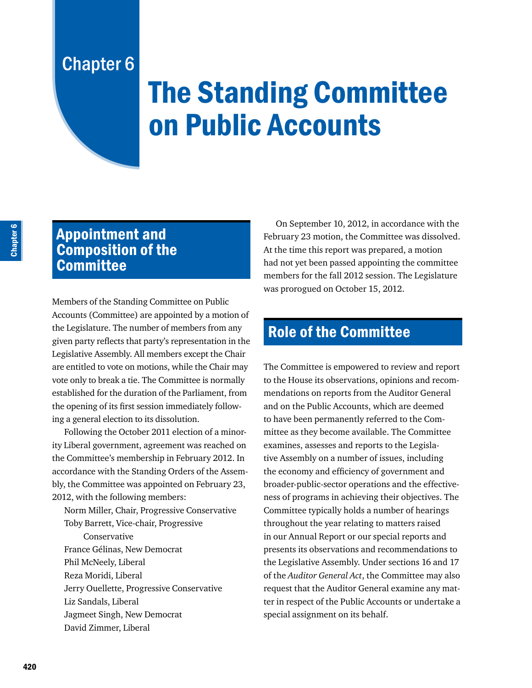## Chapter 6

# The Standing Committee on Public Accounts

## Appointment and Composition of the **Committee**

Members of the Standing Committee on Public Accounts (Committee) are appointed by a motion of the Legislature. The number of members from any given party reflects that party's representation in the Legislative Assembly. All members except the Chair are entitled to vote on motions, while the Chair may vote only to break a tie. The Committee is normally established for the duration of the Parliament, from the opening of its first session immediately following a general election to its dissolution.

Following the October 2011 election of a minority Liberal government, agreement was reached on the Committee's membership in February 2012. In accordance with the Standing Orders of the Assembly, the Committee was appointed on February 23, 2012, with the following members:

Norm Miller, Chair, Progressive Conservative Toby Barrett, Vice-chair, Progressive Conservative France Gélinas, New Democrat Phil McNeely, Liberal Reza Moridi, Liberal Jerry Ouellette, Progressive Conservative Liz Sandals, Liberal Jagmeet Singh, New Democrat David Zimmer, Liberal

On September 10, 2012, in accordance with the February 23 motion, the Committee was dissolved. At the time this report was prepared, a motion had not yet been passed appointing the committee members for the fall 2012 session. The Legislature was prorogued on October 15, 2012.

## Role of the Committee

The Committee is empowered to review and report to the House its observations, opinions and recommendations on reports from the Auditor General and on the Public Accounts, which are deemed to have been permanently referred to the Committee as they become available. The Committee examines, assesses and reports to the Legislative Assembly on a number of issues, including the economy and efficiency of government and broader-public-sector operations and the effectiveness of programs in achieving their objectives. The Committee typically holds a number of hearings throughout the year relating to matters raised in our Annual Report or our special reports and presents its observations and recommendations to the Legislative Assembly. Under sections 16 and 17 of the *Auditor General Act*, the Committee may also request that the Auditor General examine any matter in respect of the Public Accounts or undertake a special assignment on its behalf.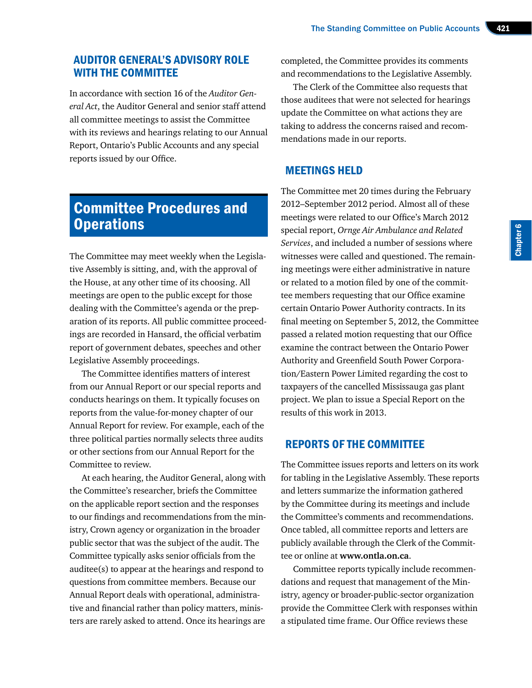#### AUDITOR GENERAL'S ADVISORY ROLE WITH THE COMMITTEE

In accordance with section 16 of the *Auditor General Act*, the Auditor General and senior staff attend all committee meetings to assist the Committee with its reviews and hearings relating to our Annual Report, Ontario's Public Accounts and any special reports issued by our Office.

### Committee Procedures and **Operations**

The Committee may meet weekly when the Legislative Assembly is sitting, and, with the approval of the House, at any other time of its choosing. All meetings are open to the public except for those dealing with the Committee's agenda or the preparation of its reports. All public committee proceedings are recorded in Hansard, the official verbatim report of government debates, speeches and other Legislative Assembly proceedings.

The Committee identifies matters of interest from our Annual Report or our special reports and conducts hearings on them. It typically focuses on reports from the value-for-money chapter of our Annual Report for review. For example, each of the three political parties normally selects three audits or other sections from our Annual Report for the Committee to review.

At each hearing, the Auditor General, along with the Committee's researcher, briefs the Committee on the applicable report section and the responses to our findings and recommendations from the ministry, Crown agency or organization in the broader public sector that was the subject of the audit. The Committee typically asks senior officials from the auditee(s) to appear at the hearings and respond to questions from committee members. Because our Annual Report deals with operational, administrative and financial rather than policy matters, ministers are rarely asked to attend. Once its hearings are

completed, the Committee provides its comments and recommendations to the Legislative Assembly.

The Clerk of the Committee also requests that those auditees that were not selected for hearings update the Committee on what actions they are taking to address the concerns raised and recommendations made in our reports.

#### MEETINGS HELD

The Committee met 20 times during the February 2012–September 2012 period. Almost all of these meetings were related to our Office's March 2012 special report, *Ornge Air Ambulance and Related Services*, and included a number of sessions where witnesses were called and questioned. The remaining meetings were either administrative in nature or related to a motion filed by one of the committee members requesting that our Office examine certain Ontario Power Authority contracts. In its final meeting on September 5, 2012, the Committee passed a related motion requesting that our Office examine the contract between the Ontario Power Authority and Greenfield South Power Corporation/Eastern Power Limited regarding the cost to taxpayers of the cancelled Mississauga gas plant project. We plan to issue a Special Report on the results of this work in 2013.

#### REPORTS OF THE COMMITTEE

The Committee issues reports and letters on its work for tabling in the Legislative Assembly. These reports and letters summarize the information gathered by the Committee during its meetings and include the Committee's comments and recommendations. Once tabled, all committee reports and letters are publicly available through the Clerk of the Committee or online at **www.ontla.on.ca**.

Committee reports typically include recommendations and request that management of the Ministry, agency or broader-public-sector organization provide the Committee Clerk with responses within a stipulated time frame. Our Office reviews these